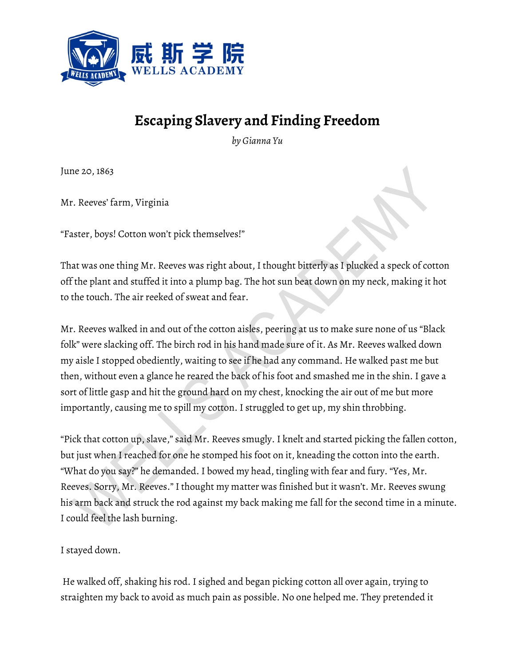

## **Escaping Slavery and Finding Freedom**

*by Gianna Yu*

June 20, 1863

Mr. Reeves' farm, Virginia

"Faster, boys! Cotton won't pick themselves!"

That was one thing Mr. Reeves was right about, I thought bitterly as I plucked a speck of cotton off the plant and stuffed it into a plump bag. The hot sun beat down on my neck, making it hot to the touch. The air reeked of sweat and fear.

Mr. Reeves walked in and out of the cotton aisles, peering at us to make sure none of us "Black folk" were slacking off. The birch rod in his hand made sure of it. As Mr. Reeves walked down my aisle I stopped obediently, waiting to see if he had any command. He walked past me but then, without even a glance he reared the back of his foot and smashed me in the shin. I gave a sort of little gasp and hit the ground hard on my chest, knocking the air out of me but more importantly, causing me to spill my cotton. I struggled to get up, my shin throbbing.

"Pick that cotton up, slave," said Mr. Reeves smugly. I knelt and started picking the fallen cotton, but just when I reached for one he stomped his foot on it, kneading the cotton into the earth. "What do you say?" he demanded. I bowed my head, tingling with fear and fury. "Yes, Mr. Reeves. Sorry, Mr. Reeves." I thought my matter was finished but it wasn't. Mr. Reeves swung his arm back and struck the rod against my back making me fall for the second time in a minute. I could feel the lash burning.

I stayed down.

He walked off, shaking his rod. I sighed and began picking cotton all over again, trying to straighten my back to avoid as much pain as possible. No one helped me. They pretended it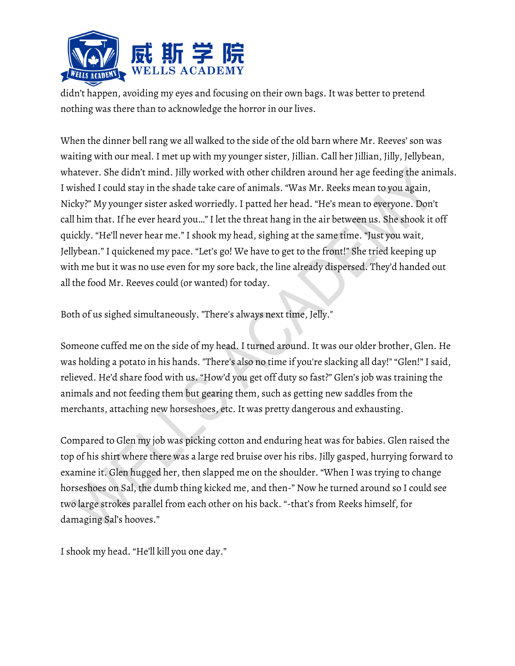

didn't happen, avoiding my eyes and focusing on their own bags. It was better to pretend nothing was there than to acknowledge the horror in our lives.

When the dinner bell rang we all walked to the side of the old barn where Mr. Reeves' son was waiting with our meal. I met up with my younger sister, Jillian. Call her Jillian, Jilly, Jellybean, whatever. She didn't mind. Jilly worked with other children around her age feeding the animals. I wished I could stay in the shade take care of animals. "Was Mr. Reeks mean to you again, Nicky?" My younger sister asked worriedly. I patted her head. "He's mean to everyone. Don't call him that. If he ever heard you…" I let the threat hang in the air between us. She shook it off quickly. "He'll never hear me." I shook my head, sighing at the same time. "Just you wait, Jellybean." I quickened my pace. "Let's go! We have to get to the front!" She tried keeping up with me but it was no use even for my sore back, the line already dispersed. They'd handed out all the food Mr. Reeves could (or wanted) for today.

Both of us sighed simultaneously. "There's always next time, Jelly."

Someone cuffed me on the side of my head. I turned around. It was our older brother, Glen. He was holding a potato in his hands. "There's also no time if you're slacking all day!" "Glen!" I said, relieved. He'd share food with us. "How'd you get off duty so fast?" Glen's job was training the animals and not feeding them but gearing them, such as getting new saddles from the merchants, attaching new horseshoes, etc. It was pretty dangerous and exhausting.

Compared to Glen my job was picking cotton and enduring heat was for babies. Glen raised the top of his shirt where there was a large red bruise over his ribs. Jilly gasped, hurrying forward to examine it. Glen hugged her, then slapped me on the shoulder. "When I was trying to change horseshoes on Sal, the dumb thing kicked me, and then-" Now he turned around so I could see two large strokes parallel from each other on his back. "-that's from Reeks himself, for damaging Sal's hooves."

I shook my head. "He'll kill you one day."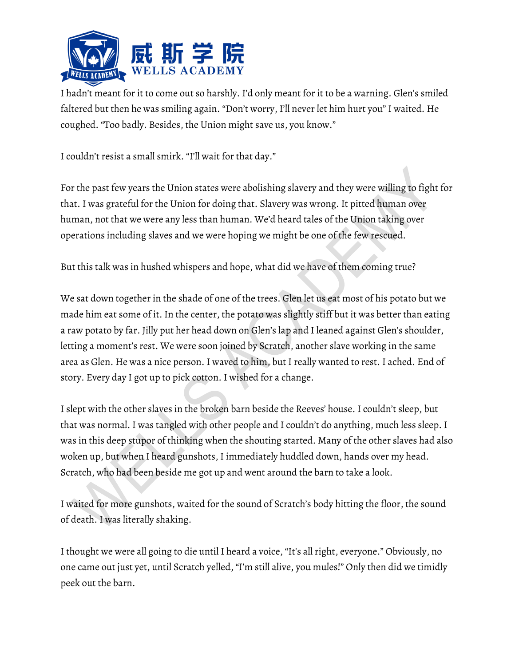

I hadn't meant for it to come out so harshly. I'd only meant for it to be a warning. Glen's smiled faltered but then he was smiling again. "Don't worry, I'll never let him hurt you" I waited. He coughed. "Too badly. Besides, the Union might save us, you know."

I couldn't resist a small smirk. "I'll wait for that day."

For the past few years the Union states were abolishing slavery and they were willing to fight for that. I was grateful for the Union for doing that. Slavery was wrong. It pitted human over human, not that we were any less than human. We'd heard tales of the Union taking over operations including slaves and we were hoping we might be one of the few rescued.

But this talk was in hushed whispers and hope, what did we have of them coming true?

We sat down together in the shade of one of the trees. Glen let us eat most of his potato but we made him eat some of it. In the center, the potato was slightly stiff but it was better than eating a raw potato by far. Jilly put her head down on Glen's lap and I leaned against Glen's shoulder, letting a moment's rest. We were soon joined by Scratch, another slave working in the same area as Glen. He was a nice person. I waved to him, but I really wanted to rest. I ached. End of story. Every day I got up to pick cotton. I wished for a change.

I slept with the other slaves in the broken barn beside the Reeves' house. I couldn't sleep, but that was normal. I was tangled with other people and I couldn't do anything, much less sleep. I was in this deep stupor of thinking when the shouting started. Many of the other slaves had also woken up, but when I heard gunshots, I immediately huddled down, hands over my head. Scratch, who had been beside me got up and went around the barn to take a look.

I waited for more gunshots, waited for the sound of Scratch's body hitting the floor, the sound of death. I was literally shaking.

I thought we were all going to die until I heard a voice, "It's all right, everyone." Obviously, no one came out just yet, until Scratch yelled, "I'm still alive, you mules!" Only then did we timidly peek out the barn.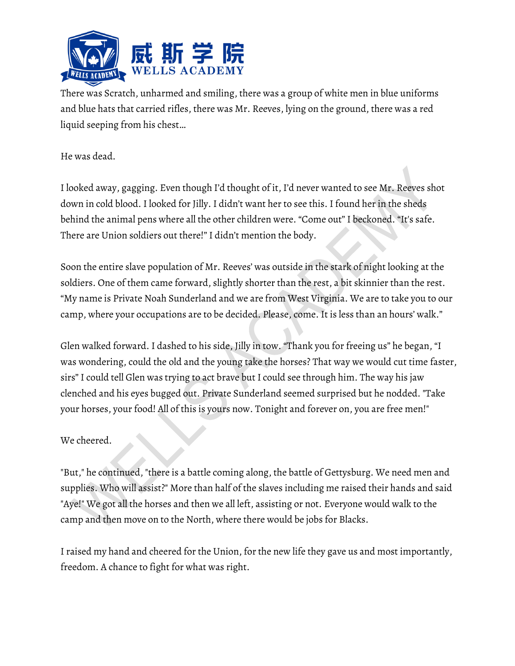

There was Scratch, unharmed and smiling, there was a group of white men in blue uniforms and blue hats that carried rifles, there was Mr. Reeves, lying on the ground, there was a red liquid seeping from his chest…

## He was dead.

I looked away, gagging. Even though I'd thought of it, I'd never wanted to see Mr. Reeves shot down in cold blood. I looked for Jilly. I didn't want her to see this. I found her in the sheds behind the animal pens where all the other children were. "Come out" I beckoned. "It's safe. There are Union soldiers out there!" I didn't mention the body.

Soon the entire slave population of Mr. Reeves' was outside in the stark of night looking at the soldiers. One of them came forward, slightly shorter than the rest, a bit skinnier than the rest. "My name is Private Noah Sunderland and we are from West Virginia. We are to take you to our camp, where your occupations are to be decided. Please, come. It is less than an hours' walk."

Glen walked forward. I dashed to his side, Jilly in tow. "Thank you for freeing us" he began, "I was wondering, could the old and the young take the horses? That way we would cut time faster, sirs" I could tell Glen was trying to act brave but I could see through him. The way his jaw clenched and his eyes bugged out. Private Sunderland seemed surprised but he nodded. "Take your horses, your food! All of this is yours now. Tonight and forever on, you are free men!"

## We cheered.

"But," he continued, "there is a battle coming along, the battle of Gettysburg. We need men and supplies. Who will assist?" More than half of the slaves including me raised their hands and said "Aye!" We got all the horses and then we all left, assisting or not. Everyone would walk to the camp and then move on to the North, where there would be jobs for Blacks.

I raised my hand and cheered for the Union, for the new life they gave us and most importantly, freedom. A chance to fight for what was right.